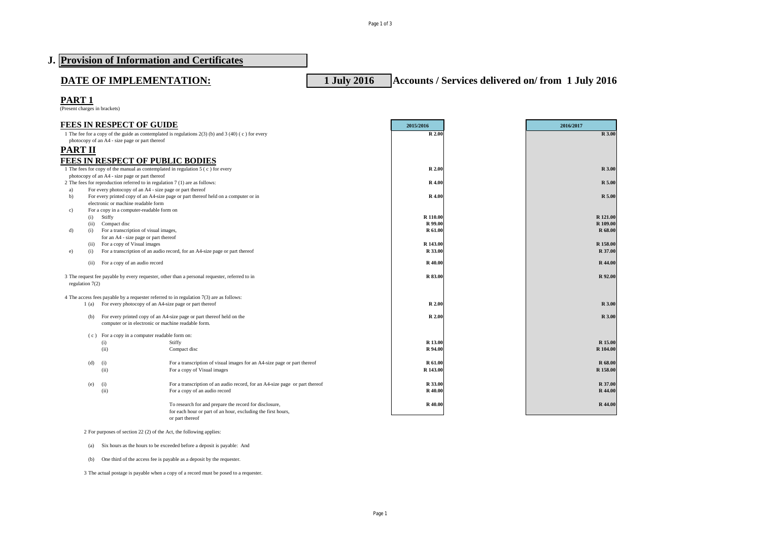Page 1 of 3

|                   |                                                                                                                               | J. Provision of Information and Certificates                                                                                              |                     |                                                   |                      |
|-------------------|-------------------------------------------------------------------------------------------------------------------------------|-------------------------------------------------------------------------------------------------------------------------------------------|---------------------|---------------------------------------------------|----------------------|
|                   | DATE OF IMPLEMENTATION:                                                                                                       |                                                                                                                                           | <b>1 July 2016</b>  | Accounts / Services delivered on/from 1 July 2016 |                      |
| PART <sub>1</sub> |                                                                                                                               |                                                                                                                                           |                     |                                                   |                      |
|                   | (Present charges in brackets)                                                                                                 |                                                                                                                                           |                     |                                                   |                      |
|                   | <b>FEES IN RESPECT OF GUIDE</b>                                                                                               |                                                                                                                                           | 2015/2016           |                                                   | 2016/2017            |
|                   | photocopy of an A4 - size page or part thereof                                                                                | 1 The fee for a copy of the guide as contemplated is regulations $2(3)$ (b) and $3(40)$ (c) for every                                     | R 2.00              |                                                   | R 3.00               |
| <b>PART II</b>    |                                                                                                                               |                                                                                                                                           |                     |                                                   |                      |
|                   | <b>FEES IN RESPECT OF PUBLIC BODIES</b>                                                                                       |                                                                                                                                           |                     |                                                   |                      |
|                   |                                                                                                                               | 1 The fees for copy of the manual as contemplated in regulation 5 (c) for every                                                           | R 2.00              |                                                   | R 3.00               |
|                   | photocopy of an A4 - size page or part thereof<br>2 The fees for reproduction referred to in regulation 7 (1) are as follows: |                                                                                                                                           | R 4.00              |                                                   | R 5.00               |
| a)                | For every photocopy of an A4 - size page or part thereof                                                                      |                                                                                                                                           |                     |                                                   |                      |
| b)                | electronic or machine readable form                                                                                           | For every printed copy of an A4-size page or part thereof held on a computer or in                                                        | R 4.00              |                                                   | R 5.00               |
| c)                | For a copy in a computer-readable form on                                                                                     |                                                                                                                                           |                     |                                                   |                      |
|                   | Stiffy<br>(i)                                                                                                                 |                                                                                                                                           | R 110.00<br>R 99.00 |                                                   | R 121.00<br>R 109.00 |
| d)                | Compact disc<br>(ii)<br>For a transcription of visual images,<br>(i)                                                          |                                                                                                                                           | <b>R</b> 61.00      |                                                   | R 68.00              |
|                   | for an A4 - size page or part thereof                                                                                         |                                                                                                                                           |                     |                                                   |                      |
| e)                | For a copy of Visual images<br>(ii)<br>(i)                                                                                    | For a transcription of an audio record, for an A4-size page or part thereof                                                               | R 143.00<br>R 33.00 |                                                   | R 158.00<br>R 37.00  |
|                   | For a copy of an audio record<br>(ii)                                                                                         |                                                                                                                                           | R 40.00             |                                                   | R 44.00              |
|                   |                                                                                                                               |                                                                                                                                           |                     |                                                   |                      |
| regulation $7(2)$ |                                                                                                                               | 3 The request fee payable by every requester, other than a personal requester, referred to in                                             | R 83.00             |                                                   | R 92.00              |
|                   |                                                                                                                               | 4 The access fees payable by a requester referred to in regulation 7(3) are as follows:                                                   |                     |                                                   |                      |
|                   | 1 (a) For every photocopy of an A4-size page or part thereof                                                                  |                                                                                                                                           | R 2.00              |                                                   | R 3.00               |
|                   | (b)<br>computer or in electronic or machine readable form.                                                                    | For every printed copy of an A4-size page or part thereof held on the                                                                     | R 2.00              |                                                   | R 3.00               |
|                   | (c) For a copy in a computer readable form on:                                                                                |                                                                                                                                           |                     |                                                   |                      |
|                   | (i)<br>(ii)                                                                                                                   | Stiffy<br>Compact disc                                                                                                                    | R 13.00<br>R 94.00  |                                                   | R 15.00<br>R 104.00  |
|                   |                                                                                                                               |                                                                                                                                           |                     |                                                   |                      |
|                   | (d)<br>(i)<br>(ii)                                                                                                            | For a transcription of visual images for an A4-size page or part thereof<br>For a copy of Visual images                                   | R 61.00<br>R 143.00 |                                                   | R 68.00<br>R 158.00  |
|                   |                                                                                                                               |                                                                                                                                           |                     |                                                   |                      |
|                   | (i)<br>(e)                                                                                                                    | For a transcription of an audio record, for an A4-size page or part thereof                                                               | R 33.00             |                                                   | R 37.00              |
|                   | (ii)                                                                                                                          | For a copy of an audio record                                                                                                             | R 40.00             |                                                   | R 44.00              |
|                   |                                                                                                                               | To research for and prepare the record for disclosure,<br>for each hour or part of an hour, excluding the first hours,<br>or part thereof | R 40.00             |                                                   | R 44.00              |
|                   |                                                                                                                               |                                                                                                                                           |                     |                                                   |                      |

2 For purposes of section 22 (2) of the Act, the following applies:

(a) Six hours as the hours to be exceeded before a deposit is payable: And

(b) One third of the access fee is payable as a deposit by the requester.

3 The actual postage is payable when a copy of a record must be posed to a requester.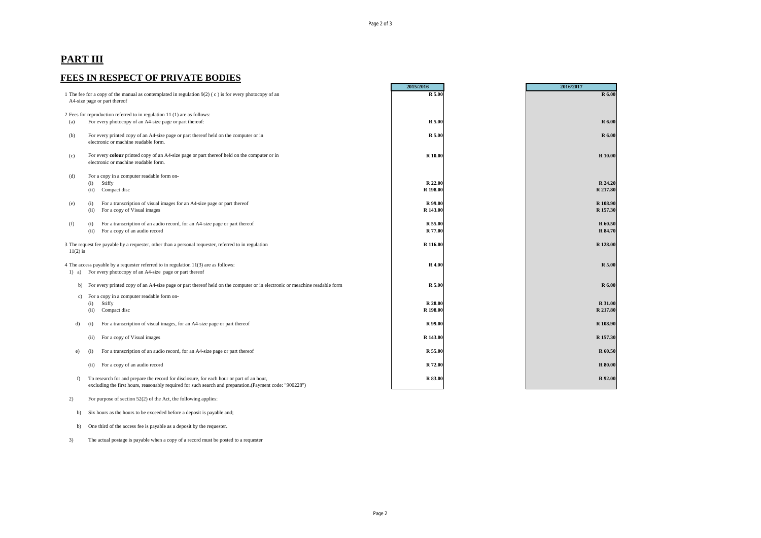## **PART III**

## **FEES IN RESPECT OF PRIVATE BODIES**

|                                                                                                                                                        |                                                                                                                                     | 2015/2016 | 2016/2017      |
|--------------------------------------------------------------------------------------------------------------------------------------------------------|-------------------------------------------------------------------------------------------------------------------------------------|-----------|----------------|
| 1 The fee for a copy of the manual as contemplated in regulation 9(2) (c) is for every photocopy of an<br>A4-size page or part thereof                 |                                                                                                                                     | R 5.00    | R 6.00         |
| 2 Fees for reproduction referred to in regulation 11 (1) are as follows:                                                                               |                                                                                                                                     |           |                |
| For every photocopy of an A4-size page or part thereof:<br>(a)                                                                                         |                                                                                                                                     |           | R 6.00         |
|                                                                                                                                                        |                                                                                                                                     | R 5.00    |                |
| (b)                                                                                                                                                    | For every printed copy of an A4-size page or part thereof held on the computer or in<br>electronic or machine readable form.        | R 5.00    | R 6.00         |
| (c)                                                                                                                                                    | For every colour printed copy of an A4-size page or part thereof held on the computer or in<br>electronic or machine readable form. | R 10.00   | <b>R</b> 10.00 |
| (d)                                                                                                                                                    | For a copy in a computer readable form on-                                                                                          |           |                |
|                                                                                                                                                        | Stiffy<br>(i)                                                                                                                       | R 22.00   | R 24.20        |
|                                                                                                                                                        | (ii)<br>Compact disc                                                                                                                | R 198.00  | R 217.80       |
|                                                                                                                                                        |                                                                                                                                     |           |                |
| (e)                                                                                                                                                    | For a transcription of visual images for an A4-size page or part thereof<br>(i)                                                     | R 99.00   | R 108.90       |
|                                                                                                                                                        | For a copy of Visual images<br>(ii)                                                                                                 | R 143.00  | R 157.30       |
|                                                                                                                                                        |                                                                                                                                     |           |                |
| (f)                                                                                                                                                    | For a transcription of an audio record, for an A4-size page or part thereof<br>(i)                                                  | R 55.00   | R 60.50        |
|                                                                                                                                                        | (ii)<br>For a copy of an audio record                                                                                               | R 77.00   | R 84.70        |
| 3 The request fee payable by a requester, other than a personal requester, referred to in regulation<br>$11(2)$ is                                     |                                                                                                                                     | R 116.00  | R 128.00       |
|                                                                                                                                                        |                                                                                                                                     | R 4.00    | R 5.00         |
| 4 The access payable by a requester referred to in regulation 11(3) are as follows:<br>For every photocopy of an A4-size page or part thereof<br>1) a) |                                                                                                                                     |           |                |
|                                                                                                                                                        |                                                                                                                                     |           |                |
| b)                                                                                                                                                     | For every printed copy of an A4-size page or part thereof held on the computer or in electronic or meachine readable form           | R 5.00    | R 6.00         |
|                                                                                                                                                        |                                                                                                                                     |           |                |
| c)                                                                                                                                                     | For a copy in a computer readable form on-<br>Stiffy                                                                                | R 28.00   | R 31.00        |
|                                                                                                                                                        | (i)                                                                                                                                 | R 198.00  | R 217.80       |
|                                                                                                                                                        | (ii)<br>Compact disc                                                                                                                |           |                |
| d)                                                                                                                                                     | For a transcription of visual images, for an A4-size page or part thereof<br>(i)                                                    | R 99.00   | R 108.90       |
|                                                                                                                                                        |                                                                                                                                     |           |                |
|                                                                                                                                                        | For a copy of Visual images<br>(ii)                                                                                                 | R 143.00  | R 157.30       |
|                                                                                                                                                        |                                                                                                                                     |           |                |
| e)                                                                                                                                                     | For a transcription of an audio record, for an A4-size page or part thereof<br>(i)                                                  | R 55.00   | R 60.50        |
|                                                                                                                                                        |                                                                                                                                     |           |                |
|                                                                                                                                                        | For a copy of an audio record<br>(ii)                                                                                               | R 72.00   | <b>R</b> 80.00 |
|                                                                                                                                                        |                                                                                                                                     |           |                |
| f)                                                                                                                                                     | To research for and prepare the record for disclosure, for each hour or part of an hour,                                            | R 83.00   | R 92.00        |
|                                                                                                                                                        | excluding the first hours, reasonably required for such search and preparation.(Payment code: "900228")                             |           |                |

## 2) For purpose of section 52(2) of the Act, the following applies:

b) Six hours as the hours to be exceeded before a deposit is payable and;

b) One third of the access fee is payable as a deposit by the requester.

3) The actual postage is payable when a copy of a record must be posted to a requester